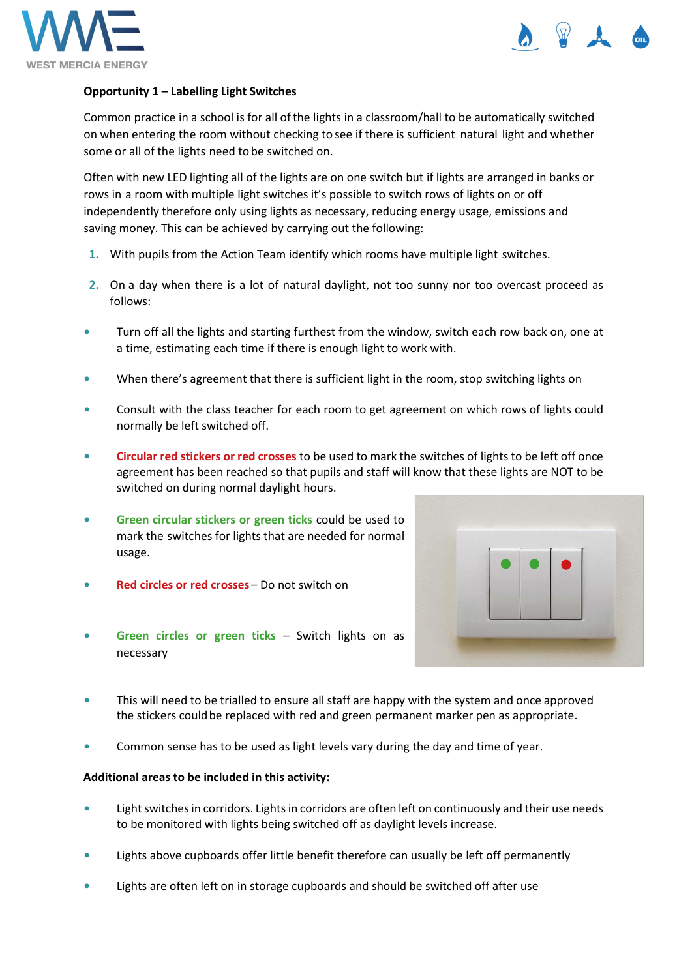



## **Opportunity 1 – Labelling Light Switches**

Common practice in a school is for all ofthe lights in a classroom/hall to be automatically switched on when entering the room without checking to see if there is sufficient natural light and whether some or all of the lights need to be switched on.

Often with new LED lighting all of the lights are on one switch but if lights are arranged in banks or rows in a room with multiple light switches it's possible to switch rows of lights on or off independently therefore only using lights as necessary, reducing energy usage, emissions and saving money. This can be achieved by carrying out the following:

- **1.** With pupils from the Action Team identify which rooms have multiple light switches.
- **2.** On a day when there is a lot of natural daylight, not too sunny nor too overcast proceed as follows:
- **•** Turn off all the lights and starting furthest from the window, switch each row back on, one at a time, estimating each time if there is enough light to work with.
- **•** When there's agreement that there is sufficient light in the room, stop switching lights on
- **•** Consult with the class teacher for each room to get agreement on which rows of lights could normally be left switched off.
- **• Circular red stickers or red crosses** to be used to mark the switches of lights to be left off once agreement has been reached so that pupils and staff will know that these lights are NOT to be switched on during normal daylight hours.
- **• Green circular stickers or green ticks** could be used to mark the switches for lights that are needed for normal usage.
- **• Red circles or red crosses** Do not switch on
- **Green circles or green ticks** Switch lights on as necessary



- **•** This will need to be trialled to ensure all staff are happy with the system and once approved the stickers couldbe replaced with red and green permanent marker pen as appropriate.
- **•** Common sense has to be used as light levels vary during the day and time of year.

## **Additional areas to be included in this activity:**

- Light switches in corridors. Lights in corridors are often left on continuously and their use needs to be monitored with lights being switched off as daylight levels increase.
- **•** Lights above cupboards offer little benefit therefore can usually be left off permanently
- **•** Lights are often left on in storage cupboards and should be switched off after use